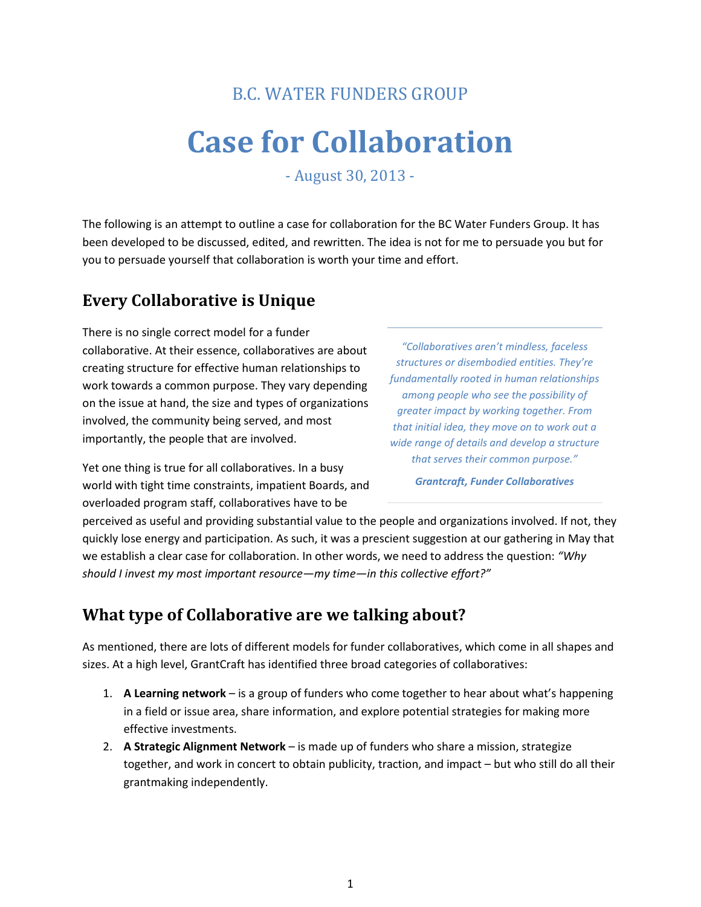# B.C. WATER FUNDERS GROUP

# **Case for Collaboration**

- August 30, 2013 -

The following is an attempt to outline a case for collaboration for the BC Water Funders Group. It has been developed to be discussed, edited, and rewritten. The idea is not for me to persuade you but for you to persuade yourself that collaboration is worth your time and effort.

#### **Every Collaborative is Unique**

There is no single correct model for a funder collaborative. At their essence, collaboratives are about creating structure for effective human relationships to work towards a common purpose. They vary depending on the issue at hand, the size and types of organizations involved, the community being served, and most importantly, the people that are involved.

Yet one thing is true for all collaboratives. In a busy world with tight time constraints, impatient Boards, and overloaded program staff, collaboratives have to be

*"Collaboratives aren't mindless, faceless structures or disembodied entities. They're fundamentally rooted in human relationships among people who see the possibility of greater impact by working together. From that initial idea, they move on to work out a wide range of details and develop a structure that serves their common purpose."*

*Grantcraft, Funder Collaboratives*

perceived as useful and providing substantial value to the people and organizations involved. If not, they quickly lose energy and participation. As such, it was a prescient suggestion at our gathering in May that we establish a clear case for collaboration. In other words, we need to address the question: *"Why should I invest my most important resource—my time—in this collective effort?"*

#### **What type of Collaborative are we talking about?**

As mentioned, there are lots of different models for funder collaboratives, which come in all shapes and sizes. At a high level, GrantCraft has identified three broad categories of collaboratives:

- 1. **A Learning network** is a group of funders who come together to hear about what's happening in a field or issue area, share information, and explore potential strategies for making more effective investments.
- 2. **A Strategic Alignment Network** is made up of funders who share a mission, strategize together, and work in concert to obtain publicity, traction, and impact – but who still do all their grantmaking independently.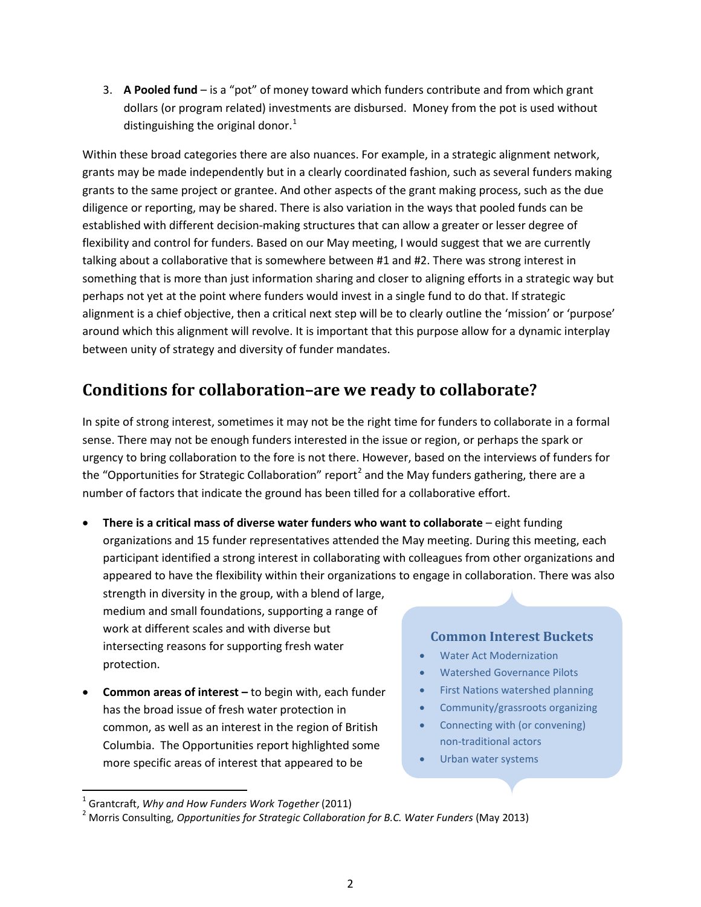3. **A Pooled fund** – is a "pot" of money toward which funders contribute and from which grant dollars (or program related) investments are disbursed. Money from the pot is used without distinguishing the original donor. $<sup>1</sup>$  $<sup>1</sup>$  $<sup>1</sup>$ </sup>

Within these broad categories there are also nuances. For example, in a strategic alignment network, grants may be made independently but in a clearly coordinated fashion, such as several funders making grants to the same project or grantee. And other aspects of the grant making process, such as the due diligence or reporting, may be shared. There is also variation in the ways that pooled funds can be established with different decision-making structures that can allow a greater or lesser degree of flexibility and control for funders. Based on our May meeting, I would suggest that we are currently talking about a collaborative that is somewhere between #1 and #2. There was strong interest in something that is more than just information sharing and closer to aligning efforts in a strategic way but perhaps not yet at the point where funders would invest in a single fund to do that. If strategic alignment is a chief objective, then a critical next step will be to clearly outline the 'mission' or 'purpose' around which this alignment will revolve. It is important that this purpose allow for a dynamic interplay between unity of strategy and diversity of funder mandates.

## **Conditions for collaboration–are we ready to collaborate?**

In spite of strong interest, sometimes it may not be the right time for funders to collaborate in a formal sense. There may not be enough funders interested in the issue or region, or perhaps the spark or urgency to bring collaboration to the fore is not there. However, based on the interviews of funders for the "Opportunities for Strategic Collaboration" report<sup>[2](#page-1-1)</sup> and the May funders gathering, there are a number of factors that indicate the ground has been tilled for a collaborative effort.

• **There is a critical mass of diverse water funders who want to collaborate** – eight funding organizations and 15 funder representatives attended the May meeting. During this meeting, each participant identified a strong interest in collaborating with colleagues from other organizations and appeared to have the flexibility within their organizations to engage in collaboration. There was also

strength in diversity in the group, with a blend of large, medium and small foundations, supporting a range of work at different scales and with diverse but intersecting reasons for supporting fresh water protection.

• **Common areas of interest –** to begin with, each funder has the broad issue of fresh water protection in common, as well as an interest in the region of British Columbia. The Opportunities report highlighted some more specific areas of interest that appeared to be

#### **Common Interest Buckets**

- Water Act Modernization
- Watershed Governance Pilots
- First Nations watershed planning
- Community/grassroots organizing
- Connecting with (or convening) non-traditional actors
- Urban water systems

<span id="page-1-1"></span><span id="page-1-0"></span>

<sup>&</sup>lt;sup>1</sup> Grantcraft, *Why and How Funders Work Together* (2011)<br><sup>2</sup> Morris Consulting, *Opportunities for Strategic Collaboration for B.C. Water Funders* (May 2013)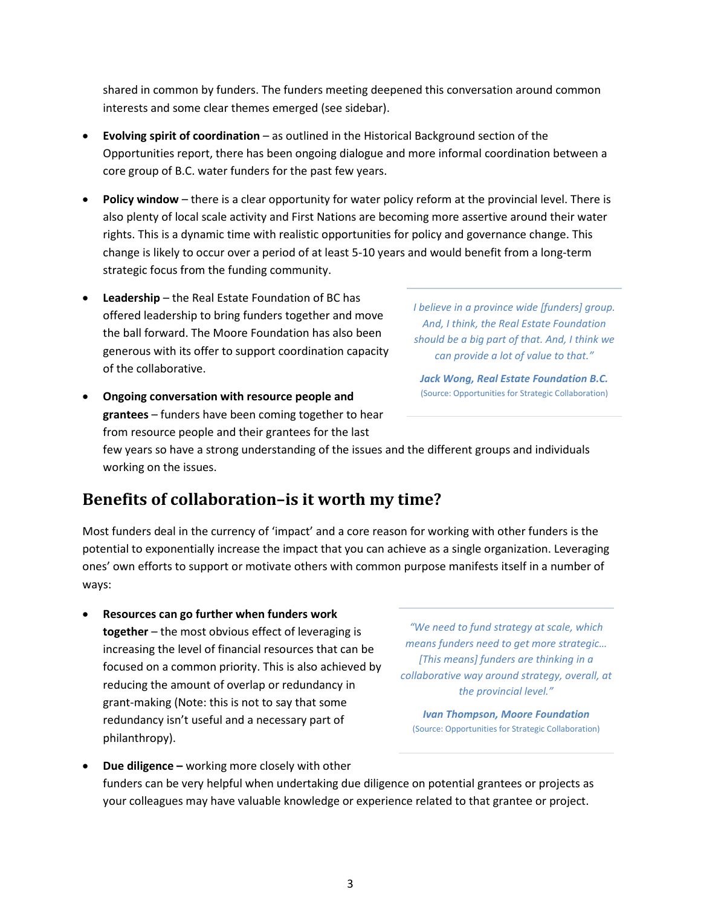shared in common by funders. The funders meeting deepened this conversation around common interests and some clear themes emerged (see sidebar).

- **Evolving spirit of coordination** as outlined in the Historical Background section of the Opportunities report, there has been ongoing dialogue and more informal coordination between a core group of B.C. water funders for the past few years.
- **Policy window** there is a clear opportunity for water policy reform at the provincial level. There is also plenty of local scale activity and First Nations are becoming more assertive around their water rights. This is a dynamic time with realistic opportunities for policy and governance change. This change is likely to occur over a period of at least 5-10 years and would benefit from a long-term strategic focus from the funding community.
- **Leadership** the Real Estate Foundation of BC has offered leadership to bring funders together and move the ball forward. The Moore Foundation has also been generous with its offer to support coordination capacity of the collaborative.
- **Ongoing conversation with resource people and grantees** – funders have been coming together to hear from resource people and their grantees for the last

*I believe in a province wide [funders] group. And, I think, the Real Estate Foundation should be a big part of that. And, I think we can provide a lot of value to that."* 

*Jack Wong, Real Estate Foundation B.C.* (Source: Opportunities for Strategic Collaboration)

few years so have a strong understanding of the issues and the different groups and individuals working on the issues.

## **Benefits of collaboration–is it worth my time?**

Most funders deal in the currency of 'impact' and a core reason for working with other funders is the potential to exponentially increase the impact that you can achieve as a single organization. Leveraging ones' own efforts to support or motivate others with common purpose manifests itself in a number of ways:

• **Resources can go further when funders work together** – the most obvious effect of leveraging is increasing the level of financial resources that can be focused on a common priority. This is also achieved by reducing the amount of overlap or redundancy in grant-making (Note: this is not to say that some redundancy isn't useful and a necessary part of philanthropy).

*"We need to fund strategy at scale, which means funders need to get more strategic… [This means] funders are thinking in a collaborative way around strategy, overall, at the provincial level."* 

*Ivan Thompson, Moore Foundation* (Source: Opportunities for Strategic Collaboration)

• **Due diligence –** working more closely with other funders can be very helpful when undertaking due diligence on potential grantees or projects as your colleagues may have valuable knowledge or experience related to that grantee or project.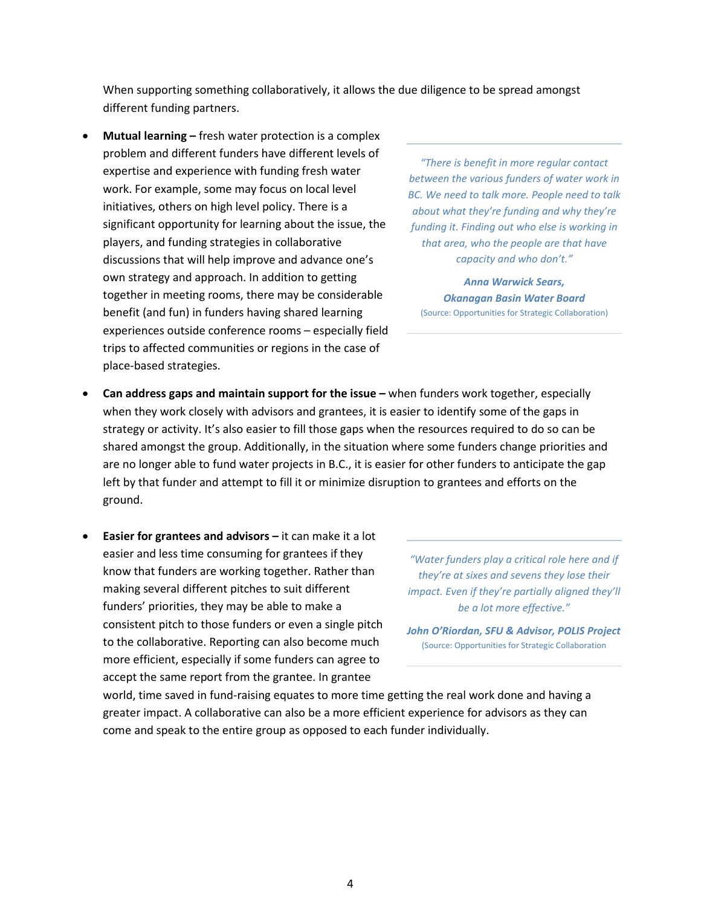When supporting something collaboratively, it allows the due diligence to be spread amongst different funding partners.

• **Mutual learning –** fresh water protection is a complex problem and different funders have different levels of expertise and experience with funding fresh water work. For example, some may focus on local level initiatives, others on high level policy. There is a significant opportunity for learning about the issue, the players, and funding strategies in collaborative discussions that will help improve and advance one's own strategy and approach. In addition to getting together in meeting rooms, there may be considerable benefit (and fun) in funders having shared learning experiences outside conference rooms – especially field trips to affected communities or regions in the case of place-based strategies.

*"There is benefit in more regular contact between the various funders of water work in BC. We need to talk more. People need to talk about what they're funding and why they're funding it. Finding out who else is working in that area, who the people are that have capacity and who don't."* 

*Anna Warwick Sears, Okanagan Basin Water Board* (Source: Opportunities for Strategic Collaboration)

- **Can address gaps and maintain support for the issue –** when funders work together, especially when they work closely with advisors and grantees, it is easier to identify some of the gaps in strategy or activity. It's also easier to fill those gaps when the resources required to do so can be shared amongst the group. Additionally, in the situation where some funders change priorities and are no longer able to fund water projects in B.C., it is easier for other funders to anticipate the gap left by that funder and attempt to fill it or minimize disruption to grantees and efforts on the ground.
- **Easier for grantees and advisors –** it can make it a lot easier and less time consuming for grantees if they know that funders are working together. Rather than making several different pitches to suit different funders' priorities, they may be able to make a consistent pitch to those funders or even a single pitch to the collaborative. Reporting can also become much more efficient, especially if some funders can agree to accept the same report from the grantee. In grantee

*"Water funders play a critical role here and if they're at sixes and sevens they lose their impact. Even if they're partially aligned they'll be a lot more effective."* 

*John O'Riordan, SFU & Advisor, POLIS Project* (Source: Opportunities for Strategic Collaboration

world, time saved in fund-raising equates to more time getting the real work done and having a greater impact. A collaborative can also be a more efficient experience for advisors as they can come and speak to the entire group as opposed to each funder individually.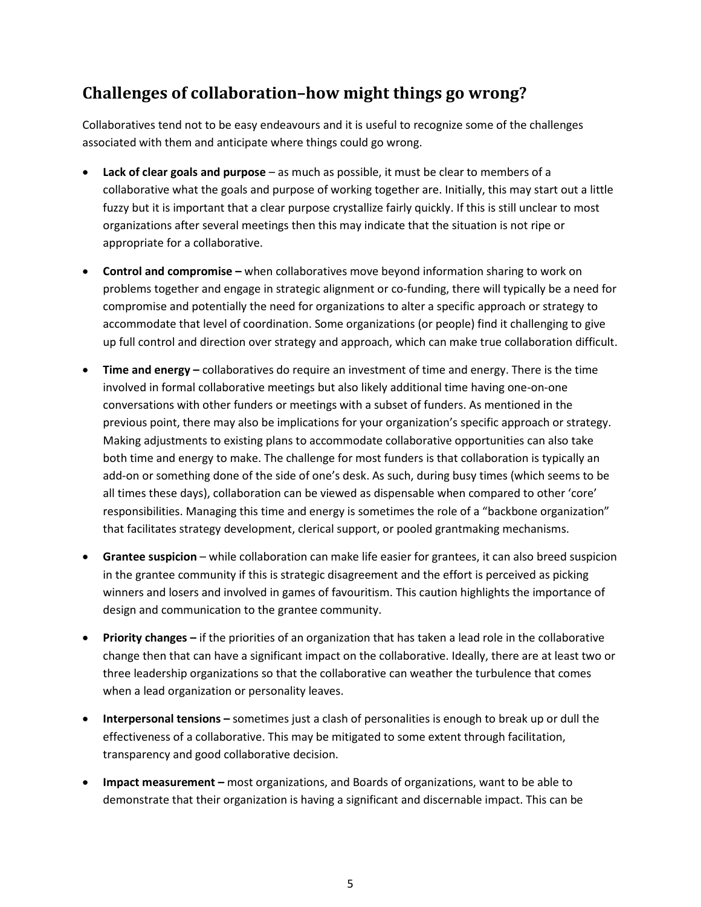# **Challenges of collaboration–how might things go wrong?**

Collaboratives tend not to be easy endeavours and it is useful to recognize some of the challenges associated with them and anticipate where things could go wrong.

- **Lack of clear goals and purpose** as much as possible, it must be clear to members of a collaborative what the goals and purpose of working together are. Initially, this may start out a little fuzzy but it is important that a clear purpose crystallize fairly quickly. If this is still unclear to most organizations after several meetings then this may indicate that the situation is not ripe or appropriate for a collaborative.
- **Control and compromise –** when collaboratives move beyond information sharing to work on problems together and engage in strategic alignment or co-funding, there will typically be a need for compromise and potentially the need for organizations to alter a specific approach or strategy to accommodate that level of coordination. Some organizations (or people) find it challenging to give up full control and direction over strategy and approach, which can make true collaboration difficult.
- **Time and energy –** collaboratives do require an investment of time and energy. There is the time involved in formal collaborative meetings but also likely additional time having one-on-one conversations with other funders or meetings with a subset of funders. As mentioned in the previous point, there may also be implications for your organization's specific approach or strategy. Making adjustments to existing plans to accommodate collaborative opportunities can also take both time and energy to make. The challenge for most funders is that collaboration is typically an add-on or something done of the side of one's desk. As such, during busy times (which seems to be all times these days), collaboration can be viewed as dispensable when compared to other 'core' responsibilities. Managing this time and energy is sometimes the role of a "backbone organization" that facilitates strategy development, clerical support, or pooled grantmaking mechanisms.
- **Grantee suspicion** while collaboration can make life easier for grantees, it can also breed suspicion in the grantee community if this is strategic disagreement and the effort is perceived as picking winners and losers and involved in games of favouritism. This caution highlights the importance of design and communication to the grantee community.
- **Priority changes –** if the priorities of an organization that has taken a lead role in the collaborative change then that can have a significant impact on the collaborative. Ideally, there are at least two or three leadership organizations so that the collaborative can weather the turbulence that comes when a lead organization or personality leaves.
- **Interpersonal tensions –** sometimes just a clash of personalities is enough to break up or dull the effectiveness of a collaborative. This may be mitigated to some extent through facilitation, transparency and good collaborative decision.
- **Impact measurement –** most organizations, and Boards of organizations, want to be able to demonstrate that their organization is having a significant and discernable impact. This can be